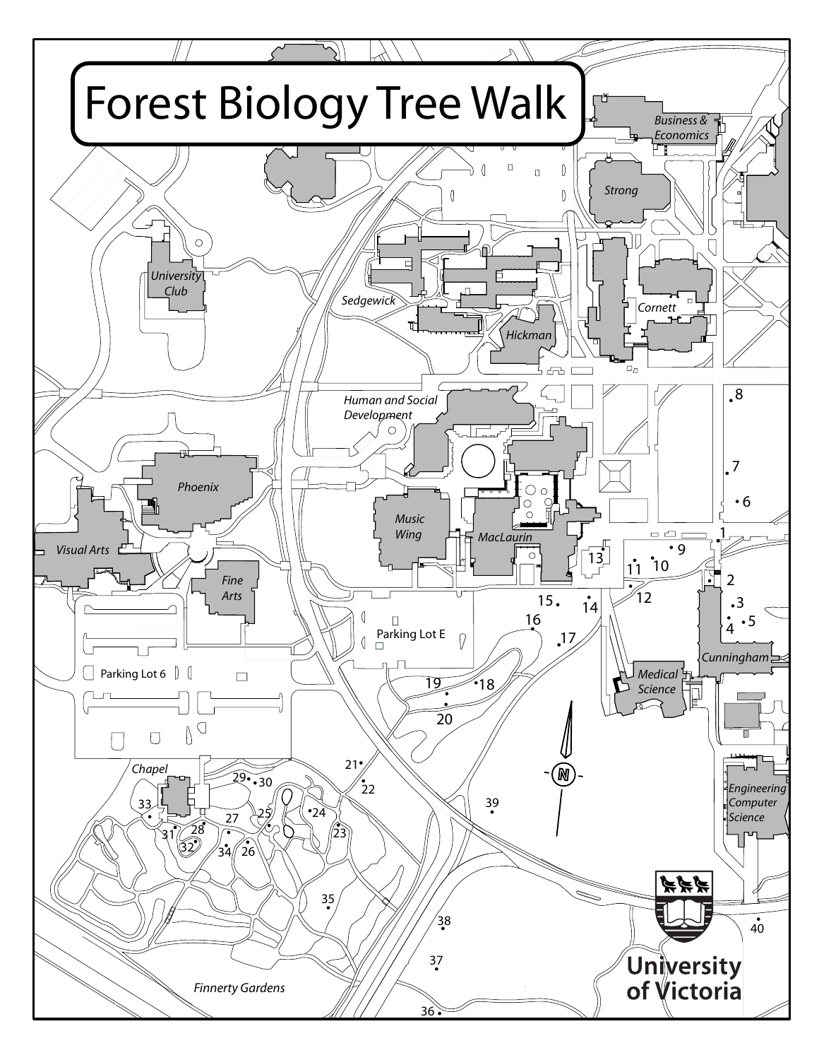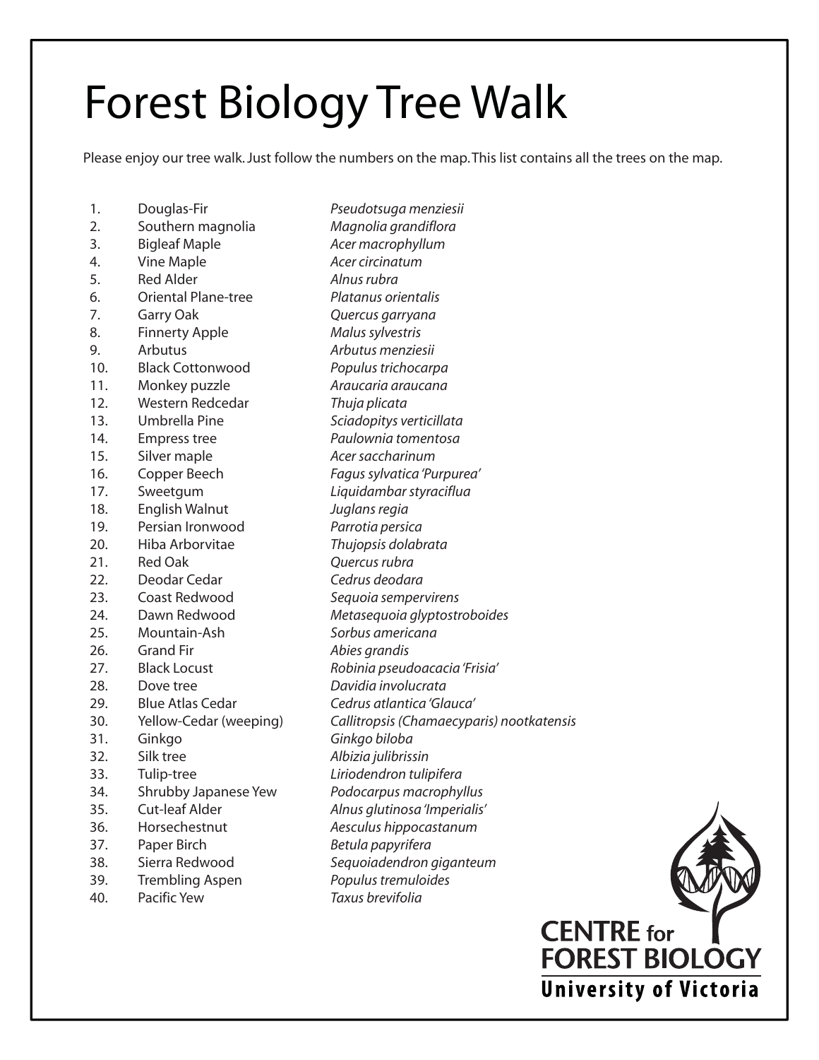# Forest Biology Tree Walk

Please enjoy our tree walk. Just follow the numbers on the map. This list contains all the trees on the map.

| 1.  | Douglas-Fir                | Pseudotsuga menziesii                     |
|-----|----------------------------|-------------------------------------------|
| 2.  | Southern magnolia          | Magnolia grandiflora                      |
| 3.  | <b>Bigleaf Maple</b>       | Acer macrophyllum                         |
| 4.  | Vine Maple                 | Acer circinatum                           |
| 5.  | <b>Red Alder</b>           | Alnus rubra                               |
| 6.  | <b>Oriental Plane-tree</b> | Platanus orientalis                       |
| 7.  | Garry Oak                  | Quercus garryana                          |
| 8.  | <b>Finnerty Apple</b>      | Malus sylvestris                          |
| 9.  | Arbutus                    | Arbutus menziesii                         |
| 10. | <b>Black Cottonwood</b>    | Populus trichocarpa                       |
| 11. | Monkey puzzle              | Araucaria araucana                        |
| 12. | Western Redcedar           | Thuja plicata                             |
| 13. | Umbrella Pine              | Sciadopitys verticillata                  |
| 14. | <b>Empress tree</b>        | Paulownia tomentosa                       |
| 15. | Silver maple               | Acer saccharinum                          |
| 16. | Copper Beech               | Fagus sylvatica 'Purpurea'                |
| 17. | Sweetgum                   | Liquidambar styraciflua                   |
| 18. | English Walnut             | Juglans regia                             |
| 19. | Persian Ironwood           | Parrotia persica                          |
| 20. | Hiba Arborvitae            | Thujopsis dolabrata                       |
| 21. | <b>Red Oak</b>             | Quercus rubra                             |
| 22. | Deodar Cedar               | Cedrus deodara                            |
| 23. | Coast Redwood              | Sequoia sempervirens                      |
| 24. | Dawn Redwood               | Metasequoia glyptostroboides              |
| 25. | Mountain-Ash               | Sorbus americana                          |
| 26. | <b>Grand Fir</b>           | Abies grandis                             |
| 27. | <b>Black Locust</b>        | Robinia pseudoacacia 'Frisia'             |
| 28. | Dove tree                  | Davidia involucrata                       |
| 29. | <b>Blue Atlas Cedar</b>    | Cedrus atlantica 'Glauca'                 |
| 30. | Yellow-Cedar (weeping)     | Callitropsis (Chamaecyparis) nootkatensis |
| 31. | Ginkgo                     | Ginkgo biloba                             |
| 32. | Silk tree                  | Albizia julibrissin                       |
| 33. | Tulip-tree                 | Liriodendron tulipifera                   |
| 34. | Shrubby Japanese Yew       | Podocarpus macrophyllus                   |
| 35. | <b>Cut-leaf Alder</b>      | Alnus glutinosa 'Imperialis'              |
| 36. | Horsechestnut              | Aesculus hippocastanum                    |
| 37. | Paper Birch                | Betula papyrifera                         |
| 38. | Sierra Redwood             | Sequoiadendron giganteum                  |
| 39. | <b>Trembling Aspen</b>     | Populus tremuloides                       |
| 40. | Pacific Yew                | Taxus brevifolia                          |
|     |                            |                                           |

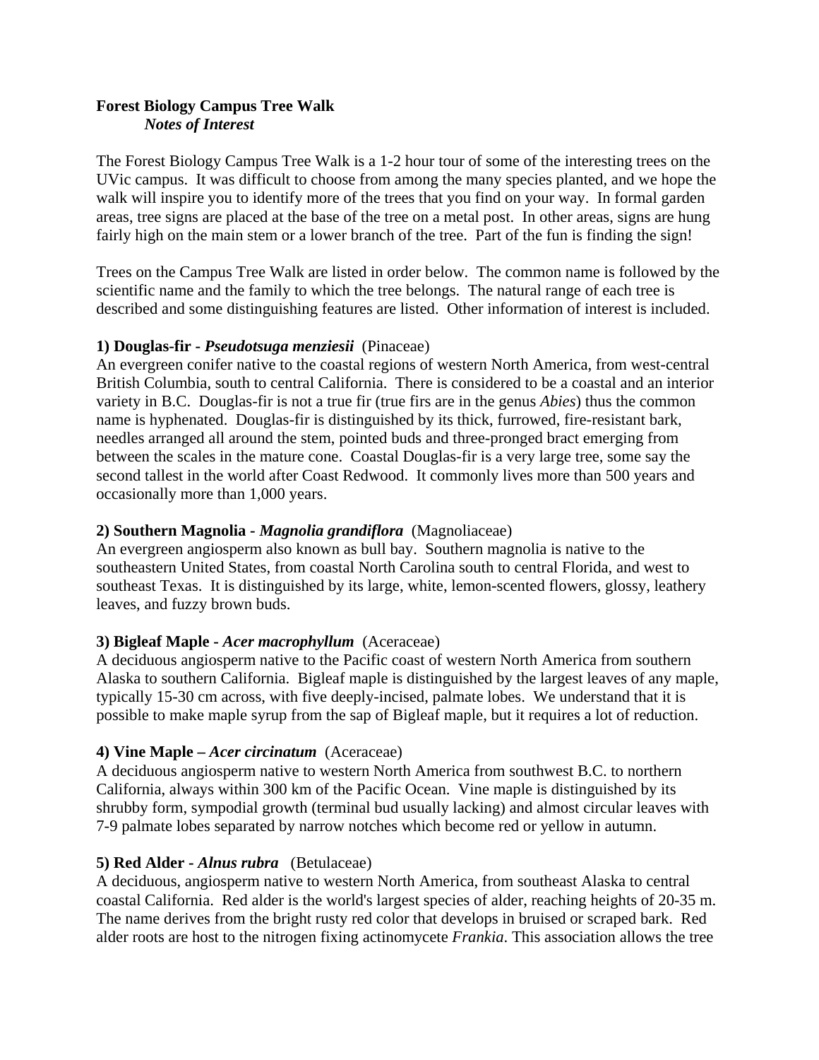# **Forest Biology Campus Tree Walk**  *Notes of Interest*

The Forest Biology Campus Tree Walk is a 1-2 hour tour of some of the interesting trees on the UVic campus. It was difficult to choose from among the many species planted, and we hope the walk will inspire you to identify more of the trees that you find on your way. In formal garden areas, tree signs are placed at the base of the tree on a metal post. In other areas, signs are hung fairly high on the main stem or a lower branch of the tree. Part of the fun is finding the sign!

Trees on the Campus Tree Walk are listed in order below. The common name is followed by the scientific name and the family to which the tree belongs. The natural range of each tree is described and some distinguishing features are listed. Other information of interest is included.

## **1) Douglas-fir -** *Pseudotsuga menziesii*(Pinaceae)

An [evergreen](http://en.wikipedia.org/wiki/Evergreen) [conifer](http://en.wikipedia.org/wiki/Conifer) native to the coastal regions of western [North America,](http://en.wikipedia.org/wiki/North_America) from west-central [British Columbia,](http://en.wikipedia.org/wiki/British_Columbia) south to central [California.](http://en.wikipedia.org/wiki/California) There is considered to be a coastal and an interior variety in B.C. Douglas-fir is not a true fir (true firs are in the genus *Abies*) thus the common name is hyphenated. Douglas-fir is distinguished by its thick, furrowed, fire-resistant bark, needles arranged all around the stem, pointed buds and three-pronged bract emerging from between the scales in the mature cone. Coastal Douglas-fir is a very large [tree](http://en.wikipedia.org/wiki/Tree), some say the second tallest in the world after [Coast Redwood](http://en.wikipedia.org/wiki/Coast_Redwood). It commonly lives more than 500 years and occasionally more than 1,000 years.

## **2) Southern Magnolia -** *Magnolia grandiflora* (Magnoliaceae)

An evergreen angiosperm also known as bull bay. Southern magnolia is native to the southeastern [United States](http://en.wikipedia.org/wiki/United_States), from coastal [North Carolina](http://en.wikipedia.org/wiki/North_Carolina) south to central [Florida,](http://en.wikipedia.org/wiki/Florida) and west to southeast [Te](http://en.wikipedia.org/wiki/Texas)xas. It is distinguished by its large, white, lemon-scented flowers, glossy, leathery leaves, and fuzzy brown buds.

# **3) Bigleaf Maple -** *Acer macrophyllum*(Aceraceae)

A deciduous angiosperm native to the Pacific coast of western [North America](http://en.wikipedia.org/wiki/North_America) from southern [Alaska](http://en.wikipedia.org/wiki/Alaska) to southern [California.](http://en.wikipedia.org/wiki/California) Bigleaf maple is distinguished by the largest leaves of any maple, typically 15-30 cm across, with five deeply-incised, palma[te lobe](http://en.wikipedia.org/wiki/Maple)s. We understand that it is possible to make maple syrup from the sap of Bigleaf maple, but it requires a lot of reduction.

## **4) Vine Maple –** *Acer circinatum* (Aceraceae)

A deciduous angiosperm native to western North America from southwest B.C. to northern California, always within 300 km of the Pacific Ocean. Vine maple is distinguished by its shrubby form, sympodial growth (terminal [bud usually lac](http://en.wikipedia.org/wiki/North_America)king) and almost circular leaves with [7-9 palmat](http://en.wikipedia.org/wiki/California)e lobes separated by narrow n[otches which b](http://en.wikipedia.org/wiki/Pacific_Ocean)ecome red or yellow in autumn.

# **5) Red Alder -** *Alnus rubra* (Betulaceae)

A deciduous, angiosperm native to western North America, from southeast Alaska to central coastal California. Red alder is the world's largest species of alder, reaching heights of 20-35 m. T[he name de](http://en.wikipedia.org/wiki/Deciduous)rives from the bright rusty red [color that devel](http://en.wikipedia.org/wiki/North_America)ops in bruised o[r scrape](http://en.wikipedia.org/wiki/Alaska)d bark. Red alder r[oots are hos](http://en.wikipedia.org/wiki/California)t to the nitrogen fixing actinomycete *Frankia*[. Th](http://en.wikipedia.org/wiki/Alder)is association allows the tree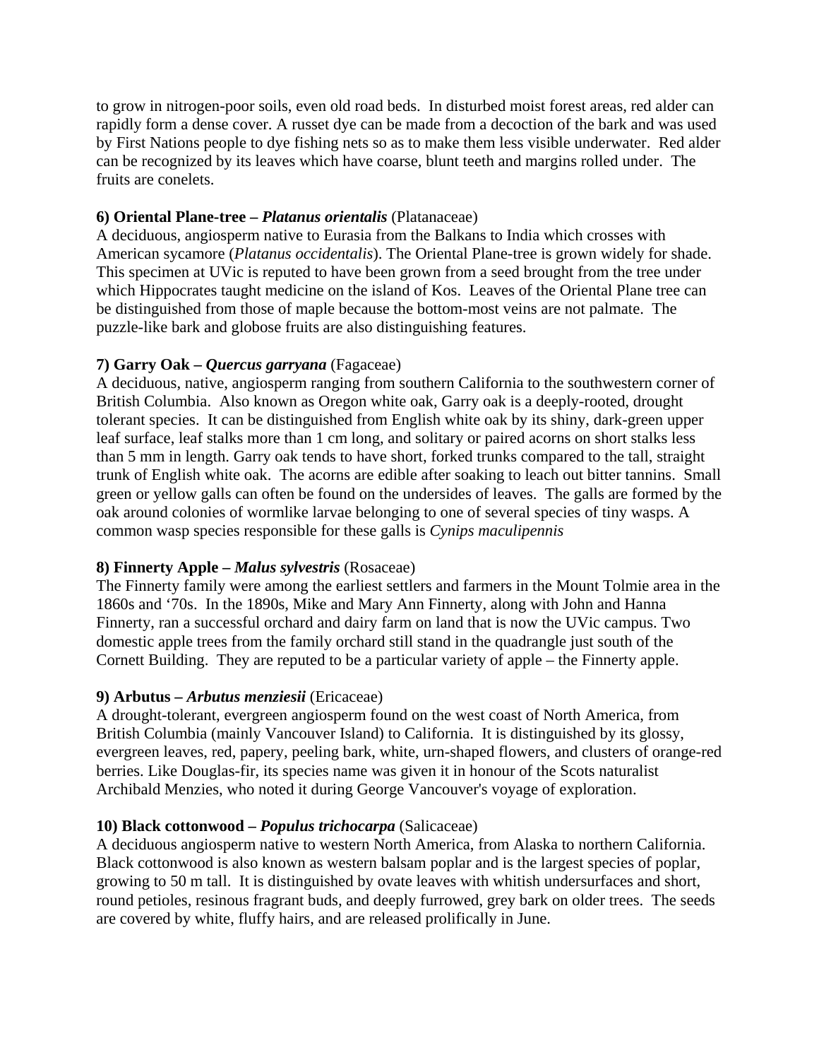to grow in nitrogen-poor soils, even old road beds. In disturbed moist forest areas, red alder can rapidly form a dense cove[r. A russet dye](http://en.wikipedia.org/wiki/Nitrogen_fixing) [can be made f](http://en.wikipedia.org/wiki/Actinomycete)[rom a de](http://en.wikipedia.org/wiki/Frankia)coction of the bark and was used by First Nations people to dye fishing nets so as to make them less visible underwater. Red alder can be recognized by its leaves which have coarse, blunt teeth and margins rolled under. The fruits are conelets.

## **6) Oriental Plane-tree –** *Platanus orientalis* (Platanaceae)

A deciduous, angiosperm native to Eurasia from the Balkans to India which crosses with American sycamore (*Platanus occidentalis*). The Oriental Plane-tree is grown widely for shade. This specimen at UVic is reputed to have been grow[n from a](http://en.wikipedia.org/wiki/Balkans) seed brought from the tree under [which Hippocrates t](http://en.wikipedia.org/wiki/American_sycamore)aught medicine on the island of Kos. Leaves of the Oriental Plane tree can be distinguished from those of maple because the bottom-most veins are not palmate. The puzzle[-like bark an](http://en.wikipedia.org/wiki/Hippocrates)d globose fruits are also distingu[ishin](http://en.wikipedia.org/wiki/Kos)g features.

# **7) Garry Oak –** *Quercus garryana* (Fagaceae)

A deciduous, native, angiosperm ranging from southern California to the southwestern corner of British Columbia. Also known as Oregon white oak, Garry oak is a deeply-rooted, drought tolerant species. It can be distinguished from English w[hite oak by](http://en.wikipedia.org/wiki/California) its shiny, dark-green upper [leaf surface, leaf s](http://en.wikipedia.org/wiki/British_Columbia)talks more than 1 cm long, and solitary or paired acorns on short stalks less than 5 mm in length. Garry oak tends to have short, forked trunks compared to the tall, straight trunk of English white oak. The acorns are edible after soaking to leach out bitter tannins. Small green or yellow galls can often be found on the undersides of leaves. The galls are formed by the oak around colonies of wormlike larvae belonging to one of several species of tiny wasps. A common wasp species responsible for these galls is *Cynips maculipennis*

## **8) Finnerty Apple –** *Malus sylvestris* (Rosaceae)

The Finnerty family were among the earliest settlers and farmers in the Mount Tolmie area in the 1860s and '70s. In the 1890s, Mike and Mary Ann Finnerty, along with John and Hanna Finnerty, ran a successful orchard and dairy farm on land that is now the UVic campus. Two domestic apple trees from the family orchard still stand in the quadrangle just south of the Cornett Building. They are reputed to be a particular variety of apple – the Finnerty apple.

# **9) Arbutus –** *Arbutus menziesii* (Ericaceae)

A drought-tolerant, evergreen angiosperm found on the west coast of North America, from British Columbia (mainly Vancouver Island) to California. It is distinguished by its glossy, evergreen leaves, red, papery, peeling bark, white, urn-shaped flowers, [and clusters of](http://en.wikipedia.org/wiki/North_America) orange-red [berries. Like Dou](http://en.wikipedia.org/wiki/British_Columbia)glas-fir, [its species name w](http://en.wikipedia.org/wiki/Vancouver_Island)as [given it in](http://en.wikipedia.org/wiki/California) honour of the Scots naturalist Archibald Menzies, who noted it during George Vancouver's voyage of exploration.

# **[10\) Black cottonwo](http://en.wikipedia.org/wiki/Archibald_Menzies)od –** *Populus trichocarpa* [\(Salicaceae\)](http://en.wikipedia.org/wiki/George_Vancouver)

A deciduous angiosperm native to western North America, from Alaska to northern California. Black cottonwood is also known as western balsam poplar and is the largest species of poplar, growing to 50 m tall. It is distinguished by ovate leaves with wh[itish un](http://en.wikipedia.org/wiki/Alaska)dersurfaces [and short,](http://en.wikipedia.org/wiki/California)  round petioles, resinous fragrant buds, and deeply furrowed, grey bark on older trees. The seeds are covered by white, fluffy hairs, and are released prolifically in June.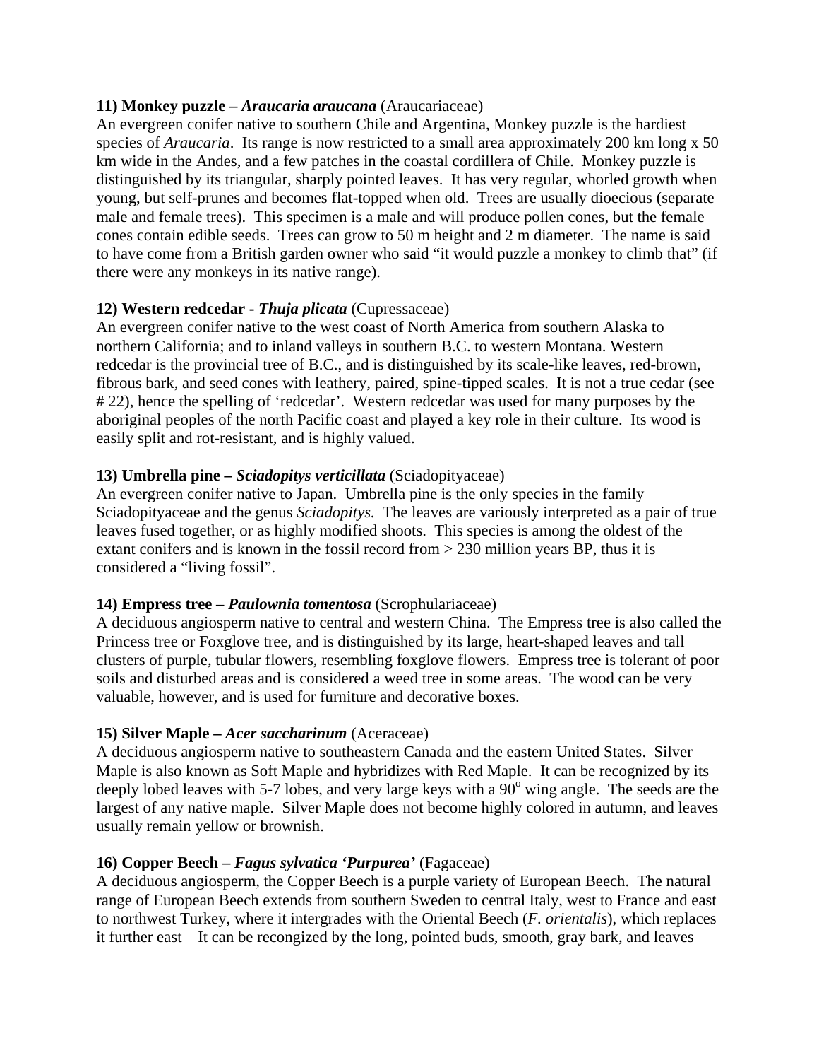## **11) Monkey puzzle –** *Araucaria araucana* (Araucariaceae)

An evergreen conifer native to southern Chile and Argentina, Monkey puzzle is the hardiest species of *Araucaria*. Its range is now restricted to a small area approximately 200 km long x 50 km wide in the Andes, and a few patches in the coastal cordillera of Chile. Monkey puzzle is distinguished by its triangular, sharply pointed leaves. It has very regular, whorled growth when young, but self-prunes and becomes flat-topped when old. Trees are usually dioecious (separate male and female trees). This specimen is a male and will produce pollen cones, but the female cones contain edible seeds. Trees can grow to 50 m height and 2 m diameter. The name is said to have come from a British garden owner who said "it would puzzle a monkey to climb that" (if there were any monkeys in its native range).

## **12) Western redcedar -** *Thuja plicata* (Cupressaceae)

An evergreen conifer native to the west coast of North America from southern Alaska to northern California; and to inland valleys in southern B.C. to western Montana. Western redcedar is the provincial tree of B.C., and is distinguished by its scale-like leaves, red-brown, fibrous bark, and seed cones with leathery, paired, spine-tipped scales. It is not a true cedar (see # 22), hence the spelling of 'redcedar'. Western redcedar was used for many purposes by the aboriginal peoples of the north Pacific coast and played a key role in their culture. Its wood is easily split and rot-resistant, and is highly valued.

#### **13) Umbrella pine –** *Sciadopitys verticillata* (Sciadopityaceae)

An evergreen conifer native to Japan. Umbrella pine is the only species in the family Sciadopityaceae and the genus *Sciadopitys.* The leaves are variously interpreted as a pair of true leaves fused together, or as highly modified shoots. This species is among the oldest of the extant conifers and is known in the fossil record from > 230 million years BP, thus it is considered a "living fossil".

#### **14) Empress tree –** *Paulownia tomentosa* (Scrophulariaceae)

A deciduous angiosperm native to central and western China. The Empress tree is also called the Princess tree or Foxglove tree, and is distinguished by its large, heart-shaped leaves and tall clusters of purple, tubular flowers, resembling foxglove flowers. Empress tree is tolerant of poor soils and disturbed areas and is considered a weed tree in some areas. The wood can be very valuable, however, and is used for furniture and decorative boxes.

#### **15) Silver Maple –** *Acer saccharinum* (Aceraceae)

A deciduous angiosperm native to southeastern Canada and the eastern United States. Silver Maple is also known as Soft Maple and hybridizes with Red Maple. It can be recognized by its deeply lobed leaves with 5-7 lobes, and very large keys with a  $90^{\circ}$  wing angle. The seeds are the largest of any native maple. Silver Maple does not become highly colored in autumn, and leaves usually remain yellow or brownish.

#### **16) Copper Beech –** *Fagus sylvatica 'Purpurea'* (Fagaceae)

A deciduous angiosperm, the Copper Beech is a purple variety of European Beech. The natural range of European Beech extends from southern Sweden to central Italy, west to France and east to northwest Turkey, where it intergrades with the Oriental Beech (*F. orientalis*), which replaces it further east It can be recongized by the long, pointed buds, smooth, gray bark, and leaves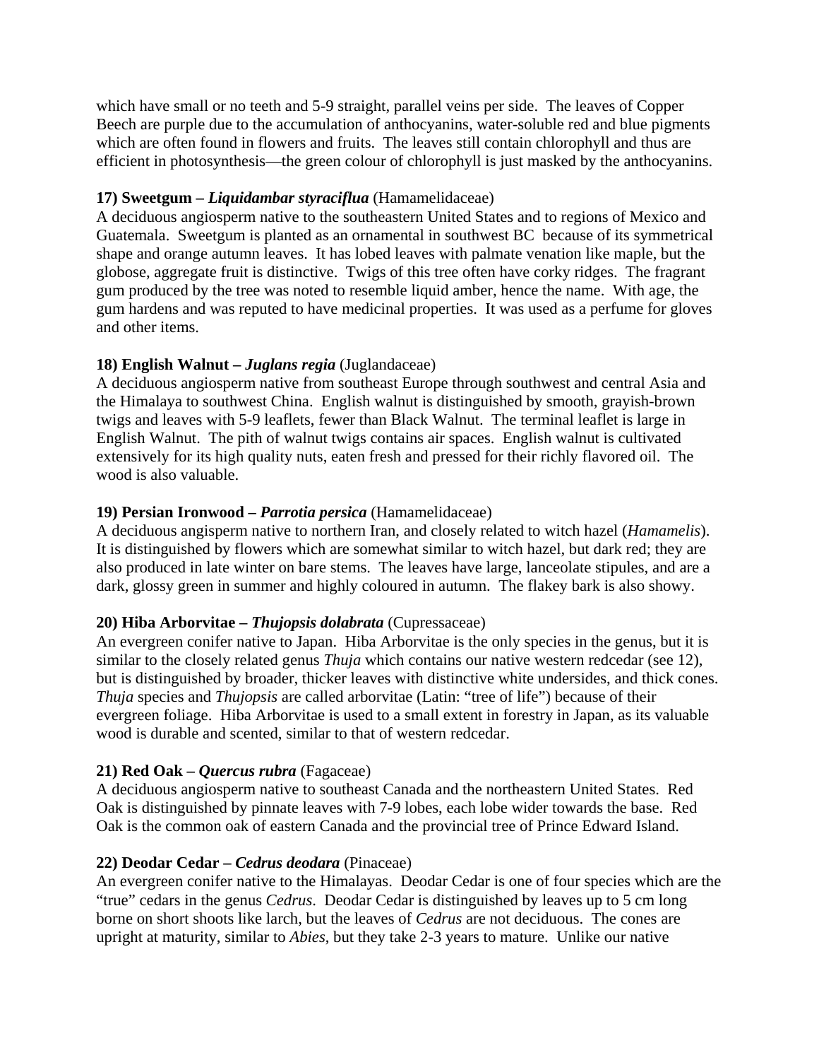which have small or no teeth and 5-9 straight, parallel veins per side. The leaves of Copper Beech are purple due to the accumulation of ant[hocyanin](http://en.wikipedia.org/wiki/Sweden)s, water-s[oluble](http://en.wikipedia.org/wiki/Italy) red and [blue pi](http://en.wikipedia.org/wiki/France)gments which are of[ten foun](http://en.wikipedia.org/wiki/Turkey)d in flowers and fruits. The l[eaves still conta](http://en.wikipedia.org/wiki/Oriental_Beech)in chlorophyll and thus are efficient in photosynthesis—the green colour of chlorophyll is just masked by the anthocyanins.

## **17) Sweetgum –** *Liquidambar styraciflua* (Hamamelidaceae)

A deciduous angiosperm native to the southeastern United States and to regions of Mexico and Guatemala. Sweetgum is planted as an ornamental in southwest BC because of its symmetrical shape and orange autumn leaves. It has lobed leaves with palmate venation like maple, but the globose, aggregate fruit is distinctive. Twigs of this tree often have corky ridges. The fragrant gum produced by the tree was noted to resemble li[quid amber, he](http://en.wikipedia.org/wiki/United_States)nce the name. W[ith age, t](http://en.wikipedia.org/wiki/Mexico)he [gum harden](http://en.wikipedia.org/wiki/Guatemala)s and was reputed to have medicinal properties. It was used as a perfume for gloves and other items.

# **18) English Walnut –** *Juglans regia* (Juglandaceae)

A deciduous angiosperm native from southeast Europe through southwest and central Asia and the Himalaya to southwest China. English walnut is distinguished by smooth, grayish-brown twigs and leaves with 5-9 leaflets, fewer than Black Walnut. The terminal leaflet is large in English Walnut. The pith of walnut twigs contains air spaces. English walnut is cultivated extensively for its high qua[lity nu](http://en.wikipedia.org/wiki/China)ts, eaten fresh and pressed for their richly flavored o[il. T](http://en.wikipedia.org/wiki/Asia)he wo[od is also v](http://en.wikipedia.org/wiki/Himalaya)aluable.

# **19) Persian Ironwood –** *Parrotia persica* (Hamamelidaceae)

A deciduous angisperm native to northern Iran, and closely related to witch hazel (*Hamamelis*). It is distinguished by flowers which are somewhat similar to witch hazel, but dark red; they are also produced in late winter on bare stems. The leaves have large, lanceolate stipules, and are a da[rk, glossy](http://en.wikipedia.org/wiki/Deciduous) green in summer and highly c[olou](http://en.wikipedia.org/wiki/Iran)red in autumn. The flakey bark is also showy.

## **20) Hiba Arborvitae –** *[Thuj](http://en.wikipedia.org/wiki/Flower)opsis dolabrata* (Cupressaceae)

An evergreen conifer native to Japan. Hiba Arborvitae is the only species in the genus, but it is similar to the closely related genus *Thuja* which contains our native western redcedar (see 12), but is distinguished by broader, thicker leaves with distinctive white undersides, and thick cones. *Thuja* species and *Thujopsis* are called arborvitae (Latin: "tree of life") because of their evergreen foliage. Hiba Arborvitae is used to a small extent in forestry in Japan, as its valuable wood is durable and scented, simil[ar to th](http://en.wikipedia.org/wiki/Thuja)at of western redcedar.

## **21) Red Oak –** *Quercus rubra* (Fagaceae)

A deciduous angiosperm native to southeast Canada and the no[rtheaster](http://en.wikipedia.org/wiki/Forestry)n United States. Red [Oak is](http://en.wikipedia.org/wiki/Wood) distinguished by pinnate leaves with 7-9 lobes, each lobe wider towards the base. Red Oak is the common oak of eastern Canada and the provincial tree of Prince Edward Island.

## **22) Deodar Cedar –** *Cedrus deodara* (Pina[ceae\)](http://en.wikipedia.org/wiki/Canada)

An evergreen conifer native to the Himalayas. Deodar Cedar is one of four species which are the "true" cedars in the genus *Cedrus*. Deodar Cedar is distinguished by leaves up to 5 cm long borne on short shoots like larch, but the leaves of *Cedrus* are not deciduous. The cones are upright at maturity, similar to *Abies*, but they take 2-3 years to mature. Unlike our native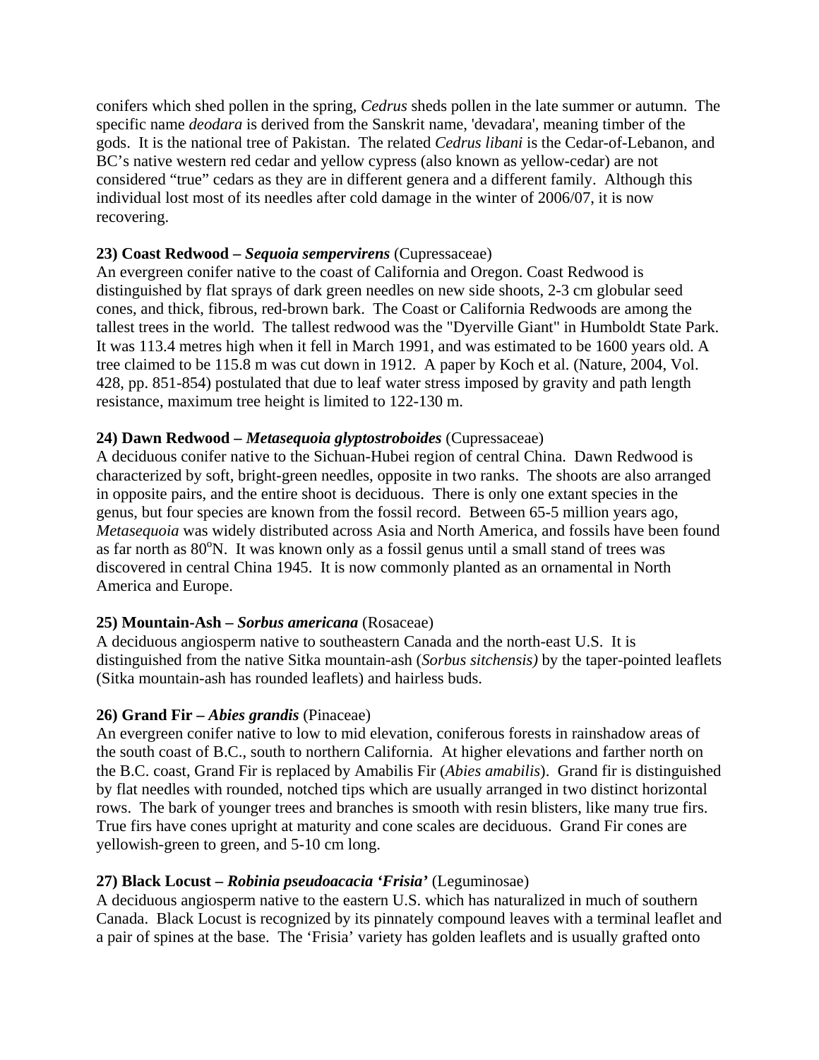conifers which shed pollen in the spring, *Cedrus* sheds pollen in the late summer or autumn. The specific name *deodara* is derived from the Sanskrit name, 'devadara', meaning timber of the gods. It is the national tree of Pakistan. The related *Cedrus libani* is the Cedar-of-Lebanon, and BC's native western red cedar and yellow cypress (also known as yellow-cedar) are not considered "true" cedars as they are in different genera and a different family. Although this individual lost most of its needles after col[d damage](http://en.wikipedia.org/wiki/Sanskrit) in the winter of 2006/07, it is now recovering.

## **23) Coast Redwood –** *Sequoia sempervirens* (Cupressaceae)

An evergreen conifer native to the coast of California and Oregon. Coast Redwood is distinguished by flat sprays of dark green needles on new side shoots, 2-3 cm globular seed cones, and thick, fibrous, red-brown bark. The Coast or California Redwoods are among the tallest trees in the world. The tallest redwood was the "Dyerville Giant" in Humboldt State Park. It was 113.4 metres high when it fell in March 1991, and was estimated to be 1600 years old. A tree claimed to be 115.8 m was cut down in 1912. A paper by Koch et al. (Nature, 2004, Vol. 428, pp. 851-854) postulated that due to leaf water stress imposed by gravity and path length resistance, maximum tree height is limited to 122-130 m.

# **24) Dawn Redwood –** *Metasequoia glyptostroboides* (Cupressaceae)

A deciduous conifer native to the Sichuan-Hubei region of central China. Dawn Redwood is characterized by soft, bright-green needles, opposite in two ranks. The shoots are also arranged in opposite pairs, and the entire shoot is deciduous. There is only one extant species in the genus, but four species are know[n from th](http://en.wikipedia.org/wiki/Sichuan)[e fossil](http://en.wikipedia.org/wiki/Hubei) record. Betwee[n 65-5](http://en.wikipedia.org/wiki/China) million years ago, *Metasequoia* was widely distributed across Asia and North America, and fossils have been found as far north as 80<sup>o</sup>N. It was known only as a fossil genus until a small stand of trees was discovered in central China 1945. It is now commonly planted as an ornamental in North America and Europe.

# **25) Mountain-Ash –** *Sorbus americana* (Rosaceae)

A deciduous angiosperm native to southeastern Canada and the north-east U.S. It is distinguished from the native Sitka mountain-ash (*Sorbus sitchensis)* by the taper-pointed leaflets (Sitka mountain-ash has rounded leaflets) and hairless buds.

## **26) Grand Fir –** *Abies grandis* (Pinaceae)

An evergreen conifer native to low to mid elevation, coniferous forests in rainshadow areas of the south coast of B.C., south to northern California. At higher elevations and farther north on the B.C. coast, Grand Fir is replaced by Amabilis Fir (*Abies amabilis*). Grand fir is distinguished by flat needles with rounded, notched tips which are usually arranged in two distinct horizontal rows. The bark of younger trees and branches is smooth with resin blisters, like many true firs. True firs have cones upright at maturity and cone scales are deciduous. Grand Fir cones are yellowish-green to green, and 5-10 cm long.

## **27) Black Locust –** *Robinia pseudoacacia 'Frisia'* (Leguminosae)

A deciduous angiosperm native to the eastern U.S. which has naturalized in much of southern Canada. Black Locust is recognized by its pinnately compound leaves with a terminal leaflet and a pair of spines at the base. The 'Frisia' variety has golden leaflets and is usually grafted onto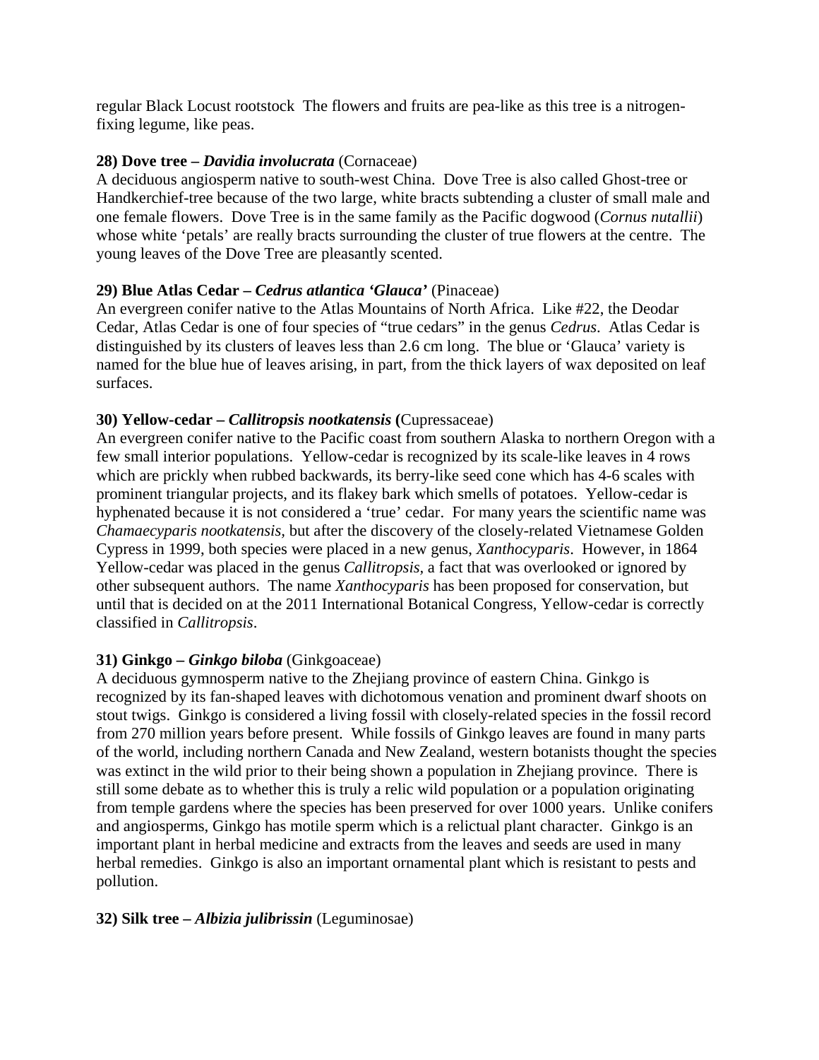regular Black Locust rootstock The flowers and fruits are pea-like as this tree is a nitrogenfixing legume, like peas.

#### **28) Dove tree –** *Davidia involucrata* (Cornaceae)

A deciduous angiosperm native to south-west China. Dove Tree is also called Ghost-tree or Handkerchief-tree because of the two large, white bracts subtending a cluster of small male and one female flowers. Dove Tree is in the same family as the Pacific dogwood (*Cornus nutallii*) whose white 'petals' are really bracts surrounding the cluster of true flowers at the centre. The young leaves of the Dove Tree are pleasantly scented.

#### **29) Blue Atlas Cedar –** *Cedrus atlantica 'Glauca'* (Pinaceae)

An evergreen conifer native to the Atlas Mountains of North Africa. Like #22, the Deodar Cedar, Atlas Cedar is one of four species of "true cedars" in the genus *Cedrus*. Atlas Cedar is distinguished by its clusters of leaves less than 2.6 cm long. The blue or 'Glauca' variety is named for the blue hue of leaves arising, in part, from the thick layers of wax deposited on leaf surfaces.

#### **30) Yellow-cedar –** *Callitropsis nootkatensis* **(**Cupressaceae)

An evergreen conifer native to the Pacific coast from southern Alaska to northern Oregon with a few small interior populations. Yellow-cedar is recognized by its scale-like leaves in 4 rows which are prickly when rubbed backwards, its berry-like seed cone which has 4-6 scales with prominent triangular projects, and its flakey bark which smells of potatoes. Yellow-cedar is hyphenated because it is not considered a 'true' cedar. For many years the scientific name was *Chamaecyparis nootkatensis,* but after the discovery of the closely-related Vietnamese Golden Cypress in 1999, both species were placed in a new genus, *Xanthocyparis*. However, in 1864 Yellow-cedar was placed in the genus *Callitropsis,* a fact that was overlooked or ignored by other subsequent authors. The name *Xanthocyparis* has been proposed for conservation, but until that is decided on at the 2011 International Botanical Congress, Yellow-cedar is correctly classified in *Callitropsis*.

## **31) Ginkgo –** *Ginkgo biloba* (Ginkgoaceae)

A deciduous gymnosperm native to the Zhejiang province of eastern China. Ginkgo is recognized by its fan-shaped leaves with dichotomous venation and prominent dwarf shoots on stout twigs. Ginkgo is considered a living fossil with closely-related species in the fossil record from 270 million years before present. While fossils of Ginkgo leaves are found in many parts of the world, including northern Canada and New Zealand, western botanists thought the species was extinct in the wild prior to their being shown a population in Zhejiang province. There is still some debate as to whether this is truly a relic wild population or a population originating from temple gardens where the species has been preserved for over 1000 years. Unlike conifers and angiosperms, Ginkgo has motile sperm which is a relictual plant character. Ginkgo is an important plant in herbal medicine and extracts from the leaves and seeds are used in many herbal remedies. Ginkgo is also an important ornamental plant which is resistant to pests and pollution.

#### **32) Silk tree –** *Albizia julibrissin* (Leguminosae)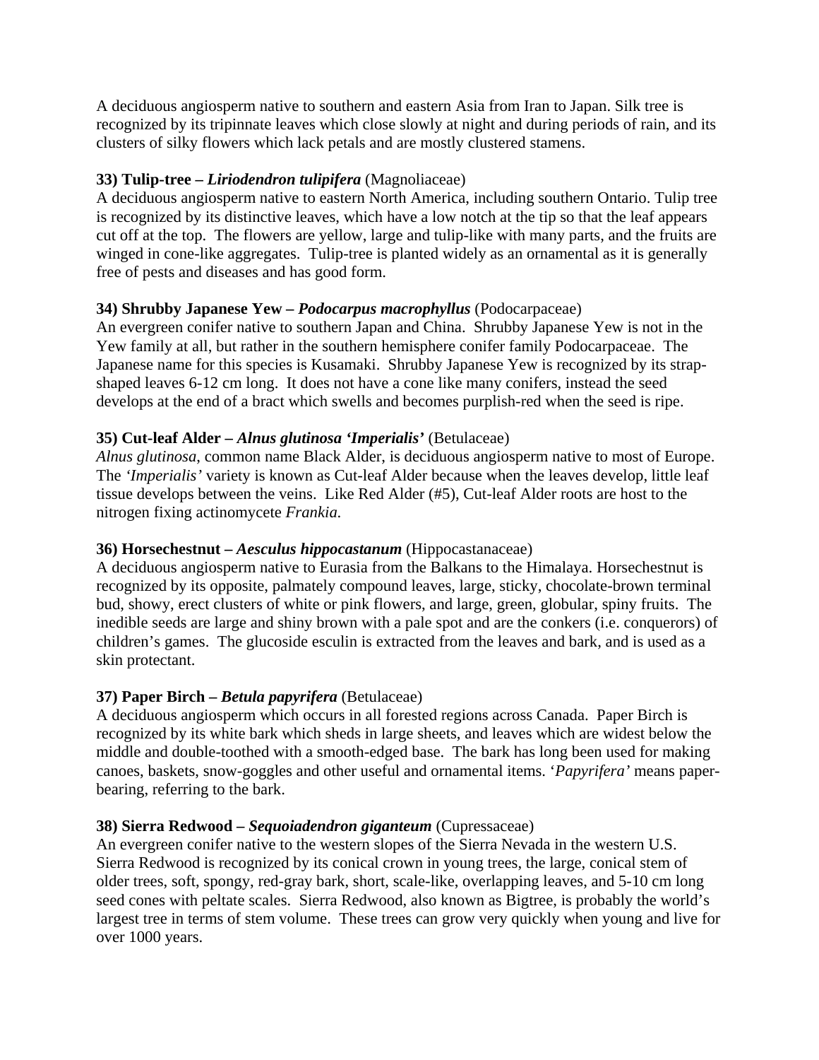A deciduous angiosperm native to southern and eastern Asia from Iran to Japan. Silk tree is recognized by its tripinnate leaves which close slowly at night and during periods of rain, and its clusters of silky flowers which lack petals and are mostly clustered stamens.

# **33) Tulip-tree –** *Liriodendron tulipifera* (Magnoliaceae)

A deciduous angiosperm native to eastern North America, including southern Ontario. Tulip tree is recognized by its distinctive leaves, which have a low notch at the tip so that the leaf appears cut off at the top. The flowers are yellow, large and tulip-like with many parts, and the fruits are winged in cone-like aggregates. Tulip-tree is planted widely as an ornamental as it is generally free of pests and diseases and has good form.

## **34) Shrubby Japanese Yew –** *Podocarpus macrophyllus* (Podocarpaceae)

An evergreen conifer native to southern Japan and China. Shrubby Japanese Yew is not in the Yew family at all, but rather in the southern hemisphere conifer family Podocarpaceae. The Japanese name for this species is Kusamaki. Shrubby Japanese Yew is recognized by its strapshaped leaves 6-12 cm long. It does not have a cone like many conifers, instead the seed develops at the end of a bract which swells and becomes purplish-red when the seed is ripe.

# **35) Cut-leaf Alder –** *Alnus glutinosa 'Imperialis'* (Betulaceae)

*Alnus glutinosa*, common name Black Alder, is deciduous angiosperm native to most of Europe. The *'Imperialis'* variety is known as Cut-leaf Alder because when the leaves develop, little leaf tissue develops between the veins. Like Red Alder (#5), Cut-leaf Alder roots are host to the nitrogen fixing actinomycete *Frankia*.

## **[36\) Horsechest](http://en.wikipedia.org/wiki/Nitrogen_fixing)nut –** *[Aescul](http://en.wikipedia.org/wiki/Actinomycete)[us hippo](http://en.wikipedia.org/wiki/Frankia)castanum* (Hippocastanaceae)

A deciduous angiosperm native to Eurasia from the Balkans to the Himalaya. Horsechestnut is recognized by its opposite, palmately compound leaves, large, sticky, chocolate-brown terminal bud, showy, erect clusters of white or pink flowers, and large, green, globular, spiny fruits. The inedible seeds are large and shiny brown with a pale spot and are the conkers (i.e. conquerors) of children's games. The glucoside esculin is extracted from the leaves and bark, and is used as a skin protectant.

# **37) Paper Birch –** *Betula papyrifera* (Betulaceae)

A deciduous angiosperm which occurs in all forested regions across Canada. Paper Birch is recognized by its white bark which sheds in large sheets, and leaves which are widest below the middle and double-toothed with a smooth-edged base. The bark has long been used for making canoes, baskets, snow-goggles and other useful and ornamental items. '*Papyrifera'* means paperbearing, referring to the bark.

## **38) Sierra Redwood –** *Sequoiadendron giganteum* (Cupressaceae)

An evergreen conifer native to the western slopes of the Sierra Nevada in the western U.S. Sierra Redwood is recognized by its conical crown in young trees, the large, conical stem of older trees, soft, spongy, red-gray bark, short, scale-like, overlapping leaves, and 5-10 cm long seed cones with peltate scales. Sierra Redwood, also known as Bigtree, is probably the world's largest tree in terms of stem volume. These trees can grow very quickly when young and live for over 1000 years.